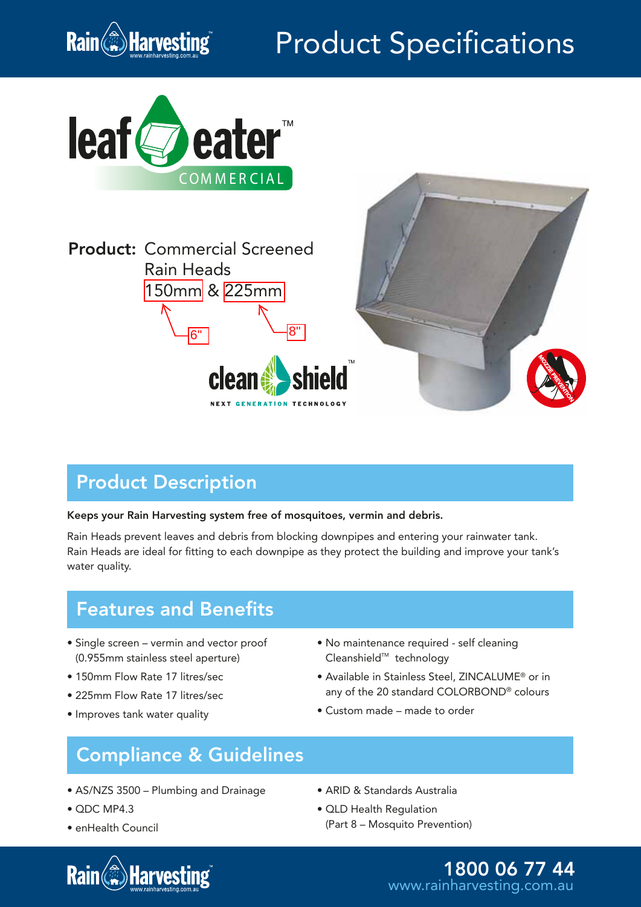

# Product Specifications





## Product Description

#### Keeps your Rain Harvesting system free of mosquitoes, vermin and debris.

Rain Heads prevent leaves and debris from blocking downpipes and entering your rainwater tank. Rain Heads are ideal for fitting to each downpipe as they protect the building and improve your tank's water quality.

### Features and Benefits

- Single screen vermin and vector proof (0.955mm stainless steel aperture)
- 150mm Flow Rate 17 litres/sec
- 225mm Flow Rate 17 litres/sec
- Improves tank water quality
- No maintenance required self cleaning Cleanshield™ technology
- Available in Stainless Steel, ZINCALUME® or in any of the 20 standard COLORBOND® colours
- Custom made made to order

### Compliance & Guidelines

- AS/NZS 3500 Plumbing and Drainage
- QDC MP4.3
- enHealth Council
- **Rain Harvesting**
- ARID & Standards Australia
- QLD Health Regulation (Part 8 – Mosquito Prevention)

www.rainharvesting.com.au 1800 06 77 44